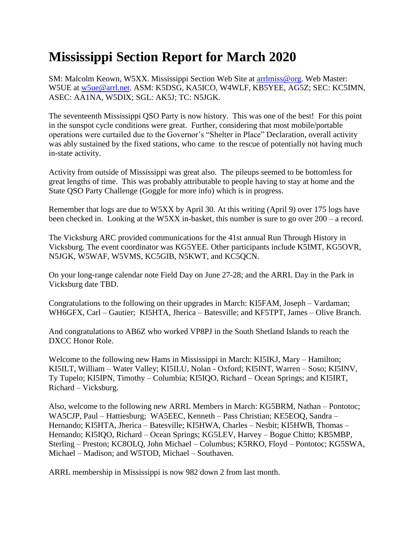## **Mississippi Section Report for March 2020**

SM: Malcolm Keown, W5XX. Mississippi Section Web Site at [arrlmiss@org.](mailto:arrlmiss@org) Web Master: W5UE at [w5ue@arrl.net.](mailto:w5ue@arrl.net) ASM: K5DSG, KA5ICO, W4WLF, KB5YEE, AG5Z; SEC: KC5IMN, ASEC: AA1NA, W5DIX; SGL: AK5J; TC: N5JGK.

The seventeenth Mississippi QSO Party is now history. This was one of the best! For this point in the sunspot cycle conditions were great. Further, considering that most mobile/portable operations were curtailed due to the Governor's "Shelter in Place" Declaration, overall activity was ably sustained by the fixed stations, who came to the rescue of potentially not having much in-state activity.

Activity from outside of Mississippi was great also. The pileups seemed to be bottomless for great lengths of time. This was probably attributable to people having to stay at home and the State QSO Party Challenge (Goggle for more info) which is in progress.

Remember that logs are due to W5XX by April 30. At this writing (April 9) over 175 logs have been checked in. Looking at the W5XX in-basket, this number is sure to go over 200 – a record.

The Vicksburg ARC provided communications for the 41st annual Run Through History in Vicksburg. The event coordinator was KG5YEE. Other participants include K5IMT, KG5OVR, N5JGK, W5WAF, W5VMS, KC5GIB, N5KWT, and KC5QCN.

On your long-range calendar note Field Day on June 27-28; and the ARRL Day in the Park in Vicksburg date TBD.

Congratulations to the following on their upgrades in March: KI5FAM, Joseph – Vardaman; WH6GFX, Carl – Gautier; KI5HTA, Jherica – Batesville; and KF5TPT, James – Olive Branch.

And congratulations to AB6Z who worked VP8PJ in the South Shetland Islands to reach the DXCC Honor Role.

Welcome to the following new Hams in Mississippi in March: KI5IKJ, Mary – Hamilton; KI5ILT, William – Water Valley; KI5ILU, Nolan - Oxford; KI5INT, Warren – Soso; KI5INV, Ty Tupelo; KI5IPN, Timothy – Columbia; KI5IQO, Richard – Ocean Springs; and KI5IRT, Richard – Vicksburg.

Also, welcome to the following new ARRL Members in March: KG5BRM, Nathan – Pontotoc; WA5CJP, Paul – Hattiesburg; WA5EEC, Kenneth – Pass Christian; KE5EOQ, Sandra – Hernando; KI5HTA, Jherica – Batesville; KI5HWA, Charles – Nesbit; KI5HWB, Thomas – Hernando; KI5IQO, Richard – Ocean Springs; KG5LEV, Harvey – Bogue Chitto; KB5MBP, Sterling – Preston; KC8OLQ, John Michael – Columbus; K5RKO, Floyd – Pontotoc; KG5SWA, Michael – Madison; and W5TOD, Michael – Southaven.

ARRL membership in Mississippi is now 982 down 2 from last month.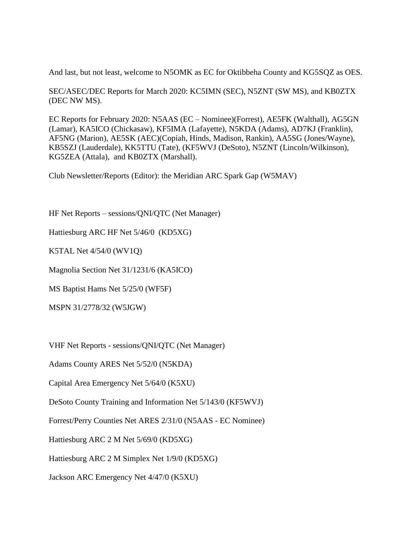And last, but not least, welcome to N5OMK as EC for Oktibbeha County and KG5SQZ as OES.

SEC/ASEC/DEC Reports for March 2020: KC5IMN (SEC), N5ZNT (SW MS), and KB0ZTX (DEC NW MS).

EC Reports for February 2020: N5AAS (EC – Nominee)(Forrest), AE5FK (Walthall), AG5GN (Lamar), KA5ICO (Chickasaw), KF5IMA (Lafayette), N5KDA (Adams), AD7KJ (Franklin), AF5NG (Marion), AE5SK (AEC)(Copiah, Hinds, Madison, Rankin), AA5SG (Jones/Wayne), KB5SZJ (Lauderdale), KK5TTU (Tate), (KF5WVJ (DeSoto), N5ZNT (Lincoln/Wilkinson), KG5ZEA (Attala), and KB0ZTX (Marshall).

Club Newsletter/Reports (Editor): the Meridian ARC Spark Gap (W5MAV)

HF Net Reports – sessions/QNI/QTC (Net Manager)

Hattiesburg ARC HF Net 5/46/0 (KD5XG)

K5TAL Net 4/54/0 (WV1Q)

Magnolia Section Net 31/1231/6 (KA5ICO)

MS Baptist Hams Net 5/25/0 (WF5F)

MSPN 31/2778/32 (W5JGW)

VHF Net Reports - sessions/QNI/QTC (Net Manager)

Adams County ARES Net 5/52/0 (N5KDA)

Capital Area Emergency Net 5/64/0 (K5XU)

DeSoto County Training and Information Net 5/143/0 (KF5WVJ)

Forrest/Perry Counties Net ARES 2/31/0 (N5AAS - EC Nominee)

Hattiesburg ARC 2 M Net 5/69/0 (KD5XG)

Hattiesburg ARC 2 M Simplex Net 1/9/0 (KD5XG)

Jackson ARC Emergency Net 4/47/0 (K5XU)